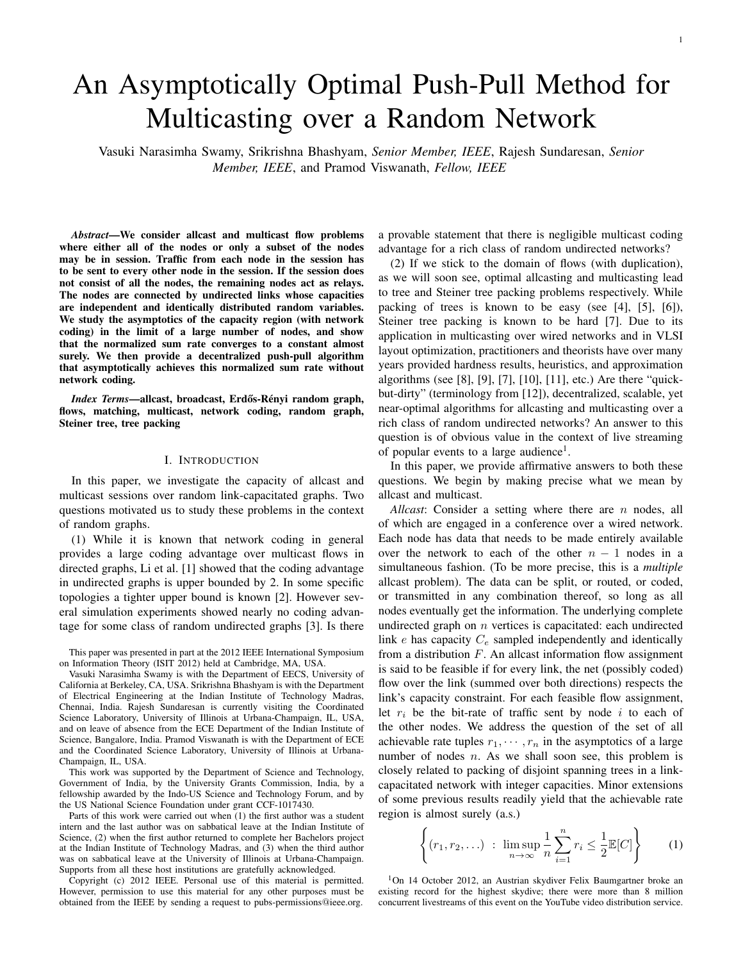# 1

# An Asymptotically Optimal Push-Pull Method for Multicasting over a Random Network

Vasuki Narasimha Swamy, Srikrishna Bhashyam, *Senior Member, IEEE*, Rajesh Sundaresan, *Senior Member, IEEE*, and Pramod Viswanath, *Fellow, IEEE*

*Abstract*—We consider allcast and multicast flow problems where either all of the nodes or only a subset of the nodes may be in session. Traffic from each node in the session has to be sent to every other node in the session. If the session does not consist of all the nodes, the remaining nodes act as relays. The nodes are connected by undirected links whose capacities are independent and identically distributed random variables. We study the asymptotics of the capacity region (with network coding) in the limit of a large number of nodes, and show that the normalized sum rate converges to a constant almost surely. We then provide a decentralized push-pull algorithm that asymptotically achieves this normalized sum rate without network coding.

*Index Terms*—allcast, broadcast, Erdős-Rényi random graph, flows, matching, multicast, network coding, random graph, Steiner tree, tree packing

#### I. INTRODUCTION

In this paper, we investigate the capacity of allcast and multicast sessions over random link-capacitated graphs. Two questions motivated us to study these problems in the context of random graphs.

(1) While it is known that network coding in general provides a large coding advantage over multicast flows in directed graphs, Li et al. [1] showed that the coding advantage in undirected graphs is upper bounded by 2. In some specific topologies a tighter upper bound is known [2]. However several simulation experiments showed nearly no coding advantage for some class of random undirected graphs [3]. Is there

This paper was presented in part at the 2012 IEEE International Symposium on Information Theory (ISIT 2012) held at Cambridge, MA, USA.

Vasuki Narasimha Swamy is with the Department of EECS, University of California at Berkeley, CA, USA. Srikrishna Bhashyam is with the Department of Electrical Engineering at the Indian Institute of Technology Madras, Chennai, India. Rajesh Sundaresan is currently visiting the Coordinated Science Laboratory, University of Illinois at Urbana-Champaign, IL, USA, and on leave of absence from the ECE Department of the Indian Institute of Science, Bangalore, India. Pramod Viswanath is with the Department of ECE and the Coordinated Science Laboratory, University of Illinois at Urbana-Champaign, IL, USA.

This work was supported by the Department of Science and Technology, Government of India, by the University Grants Commission, India, by a fellowship awarded by the Indo-US Science and Technology Forum, and by the US National Science Foundation under grant CCF-1017430.

Parts of this work were carried out when (1) the first author was a student intern and the last author was on sabbatical leave at the Indian Institute of Science, (2) when the first author returned to complete her Bachelors project at the Indian Institute of Technology Madras, and (3) when the third author was on sabbatical leave at the University of Illinois at Urbana-Champaign. Supports from all these host institutions are gratefully acknowledged.

Copyright (c) 2012 IEEE. Personal use of this material is permitted. However, permission to use this material for any other purposes must be obtained from the IEEE by sending a request to pubs-permissions@ieee.org.

a provable statement that there is negligible multicast coding advantage for a rich class of random undirected networks?

(2) If we stick to the domain of flows (with duplication), as we will soon see, optimal allcasting and multicasting lead to tree and Steiner tree packing problems respectively. While packing of trees is known to be easy (see [4], [5], [6]), Steiner tree packing is known to be hard [7]. Due to its application in multicasting over wired networks and in VLSI layout optimization, practitioners and theorists have over many years provided hardness results, heuristics, and approximation algorithms (see [8], [9], [7], [10], [11], etc.) Are there "quickbut-dirty" (terminology from [12]), decentralized, scalable, yet near-optimal algorithms for allcasting and multicasting over a rich class of random undirected networks? An answer to this question is of obvious value in the context of live streaming of popular events to a large audience<sup>1</sup>.

In this paper, we provide affirmative answers to both these questions. We begin by making precise what we mean by allcast and multicast.

*Allcast:* Consider a setting where there are *n* nodes, all of which are engaged in a conference over a wired network. Each node has data that needs to be made entirely available over the network to each of the other  $n - 1$  nodes in a simultaneous fashion. (To be more precise, this is a *multiple* allcast problem). The data can be split, or routed, or coded, or transmitted in any combination thereof, so long as all nodes eventually get the information. The underlying complete undirected graph on  $n$  vertices is capacitated: each undirected link  $e$  has capacity  $C_e$  sampled independently and identically from a distribution  $F$ . An allcast information flow assignment is said to be feasible if for every link, the net (possibly coded) flow over the link (summed over both directions) respects the link's capacity constraint. For each feasible flow assignment, let  $r_i$  be the bit-rate of traffic sent by node i to each of the other nodes. We address the question of the set of all achievable rate tuples  $r_1, \dots, r_n$  in the asymptotics of a large number of nodes *n*. As we shall soon see, this problem is closely related to packing of disjoint spanning trees in a linkcapacitated network with integer capacities. Minor extensions of some previous results readily yield that the achievable rate region is almost surely (a.s.)

$$
\left\{ (r_1, r_2, \ldots) \ : \ \limsup_{n \to \infty} \frac{1}{n} \sum_{i=1}^n r_i \le \frac{1}{2} \mathbb{E}[C] \right\} \qquad (1)
$$

<sup>1</sup>On 14 October 2012, an Austrian skydiver Felix Baumgartner broke an existing record for the highest skydive; there were more than 8 million concurrent livestreams of this event on the YouTube video distribution service.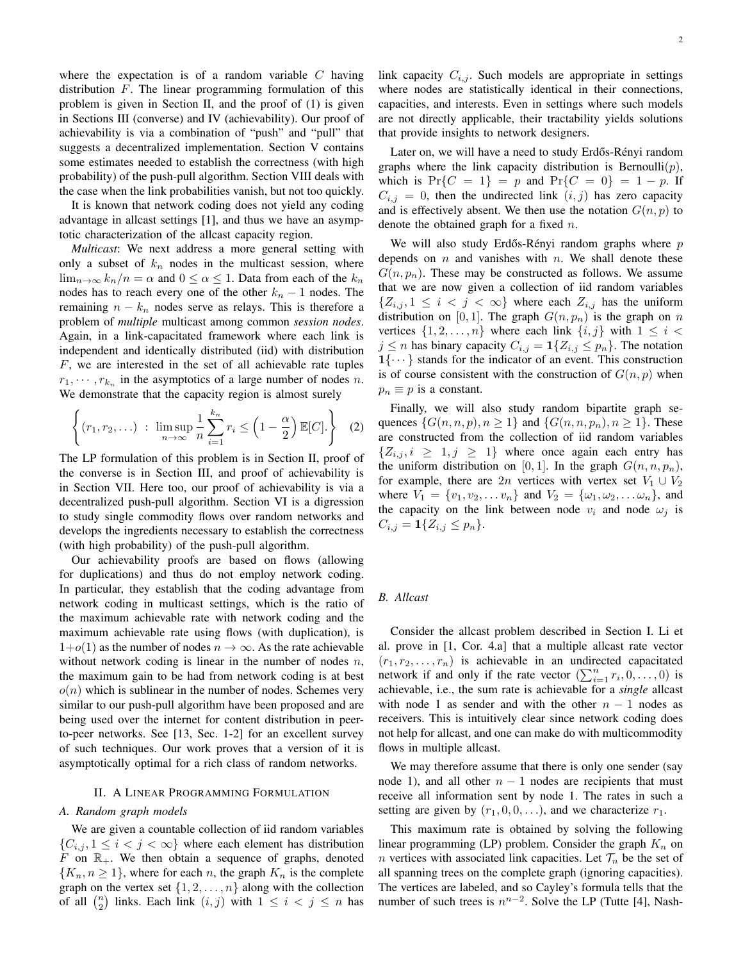where the expectation is of a random variable  $C$  having distribution  $F$ . The linear programming formulation of this problem is given in Section II, and the proof of (1) is given in Sections III (converse) and IV (achievability). Our proof of achievability is via a combination of "push" and "pull" that suggests a decentralized implementation. Section V contains some estimates needed to establish the correctness (with high probability) of the push-pull algorithm. Section VIII deals with the case when the link probabilities vanish, but not too quickly.

It is known that network coding does not yield any coding advantage in allcast settings [1], and thus we have an asymptotic characterization of the allcast capacity region.

*Multicast*: We next address a more general setting with only a subset of  $k_n$  nodes in the multicast session, where  $\lim_{n\to\infty} k_n/n = \alpha$  and  $0 \le \alpha \le 1$ . Data from each of the  $k_n$ nodes has to reach every one of the other  $k_n - 1$  nodes. The remaining  $n - k_n$  nodes serve as relays. This is therefore a problem of *multiple* multicast among common *session nodes*. Again, in a link-capacitated framework where each link is independent and identically distributed (iid) with distribution F, we are interested in the set of all achievable rate tuples  $r_1, \dots, r_{k_n}$  in the asymptotics of a large number of nodes n. We demonstrate that the capacity region is almost surely

$$
\left\{ (r_1, r_2, \ldots) \ : \ \limsup_{n \to \infty} \frac{1}{n} \sum_{i=1}^{k_n} r_i \le \left( 1 - \frac{\alpha}{2} \right) \mathbb{E}[C]. \right\} \quad (2)
$$

The LP formulation of this problem is in Section II, proof of the converse is in Section III, and proof of achievability is in Section VII. Here too, our proof of achievability is via a decentralized push-pull algorithm. Section VI is a digression to study single commodity flows over random networks and develops the ingredients necessary to establish the correctness (with high probability) of the push-pull algorithm.

Our achievability proofs are based on flows (allowing for duplications) and thus do not employ network coding. In particular, they establish that the coding advantage from network coding in multicast settings, which is the ratio of the maximum achievable rate with network coding and the maximum achievable rate using flows (with duplication), is  $1+o(1)$  as the number of nodes  $n \to \infty$ . As the rate achievable without network coding is linear in the number of nodes  $n$ , the maximum gain to be had from network coding is at best  $o(n)$  which is sublinear in the number of nodes. Schemes very similar to our push-pull algorithm have been proposed and are being used over the internet for content distribution in peerto-peer networks. See [13, Sec. 1-2] for an excellent survey of such techniques. Our work proves that a version of it is asymptotically optimal for a rich class of random networks.

# II. A LINEAR PROGRAMMING FORMULATION

#### *A. Random graph models*

We are given a countable collection of iid random variables  $\{C_{i,j}, 1 \leq i < j < \infty\}$  where each element has distribution  $F$  on  $\mathbb{R}_+$ . We then obtain a sequence of graphs, denoted  $\{K_n, n \geq 1\}$ , where for each n, the graph  $K_n$  is the complete graph on the vertex set  $\{1, 2, \ldots, n\}$  along with the collection of all  $\binom{n}{2}$  links. Each link  $(i, j)$  with  $1 \leq i < j \leq n$  has link capacity  $C_{i,j}$ . Such models are appropriate in settings where nodes are statistically identical in their connections, capacities, and interests. Even in settings where such models are not directly applicable, their tractability yields solutions that provide insights to network designers.

Later on, we will have a need to study Erdős-Rényi random graphs where the link capacity distribution is Bernoulli $(p)$ , which is  $Pr{C = 1} = p$  and  $Pr{C = 0} = 1 - p$ . If  $C_{i,j} = 0$ , then the undirected link  $(i, j)$  has zero capacity and is effectively absent. We then use the notation  $G(n, p)$  to denote the obtained graph for a fixed  $n$ .

We will also study Erdős-Rényi random graphs where  $p$ depends on  $n$  and vanishes with  $n$ . We shall denote these  $G(n, p_n)$ . These may be constructed as follows. We assume that we are now given a collection of iid random variables  $\{Z_{i,j}, 1 \leq i < j < \infty\}$  where each  $Z_{i,j}$  has the uniform distribution on [0, 1]. The graph  $G(n, p_n)$  is the graph on n vertices  $\{1, 2, \ldots, n\}$  where each link  $\{i, j\}$  with  $1 \leq i <$  $j \leq n$  has binary capacity  $C_{i,j} = \mathbf{1}\{Z_{i,j} \leq p_n\}$ . The notation  $1\{\cdots\}$  stands for the indicator of an event. This construction is of course consistent with the construction of  $G(n, p)$  when  $p_n \equiv p$  is a constant.

Finally, we will also study random bipartite graph sequences  $\{G(n, n, p), n \geq 1\}$  and  $\{G(n, n, p_n), n \geq 1\}$ . These are constructed from the collection of iid random variables  $\{Z_{i,j}, i \geq 1, j \geq 1\}$  where once again each entry has the uniform distribution on [0, 1]. In the graph  $G(n, n, p_n)$ , for example, there are 2n vertices with vertex set  $V_1 \cup V_2$ where  $V_1 = \{v_1, v_2, \dots v_n\}$  and  $V_2 = \{\omega_1, \omega_2, \dots \omega_n\}$ , and the capacity on the link between node  $v_i$  and node  $\omega_j$  is  $C_{i,j} = \mathbf{1}\{Z_{i,j} \leq p_n\}.$ 

# *B. Allcast*

Consider the allcast problem described in Section I. Li et al. prove in [1, Cor. 4.a] that a multiple allcast rate vector  $(r_1, r_2, \ldots, r_n)$  is achievable in an undirected capacitated network if and only if the rate vector  $(\sum_{i=1}^{n} r_i, 0, \ldots, 0)$  is achievable, i.e., the sum rate is achievable for a *single* allcast with node 1 as sender and with the other  $n - 1$  nodes as receivers. This is intuitively clear since network coding does not help for allcast, and one can make do with multicommodity flows in multiple allcast.

We may therefore assume that there is only one sender (say node 1), and all other  $n - 1$  nodes are recipients that must receive all information sent by node 1. The rates in such a setting are given by  $(r_1, 0, 0, \ldots)$ , and we characterize  $r_1$ .

This maximum rate is obtained by solving the following linear programming (LP) problem. Consider the graph  $K_n$  on *n* vertices with associated link capacities. Let  $\mathcal{T}_n$  be the set of all spanning trees on the complete graph (ignoring capacities). The vertices are labeled, and so Cayley's formula tells that the number of such trees is  $n^{n-2}$ . Solve the LP (Tutte [4], Nash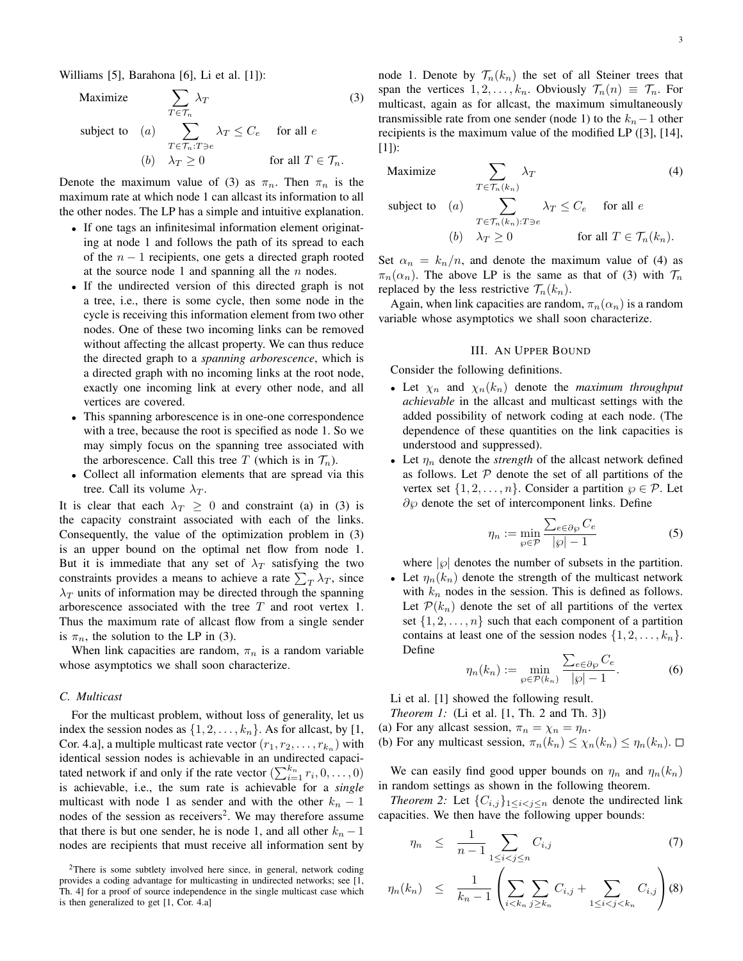Williams [5], Barahona [6], Li et al. [1]):

Maximize  $\sum$  $T \in \mathcal{T}_n$  $\lambda_T$  (3) subject to  $(a)$   $\sum$  $T \in \mathcal{T}_n$ :T∋e  $\lambda_T \leq C_e$  for all e (b)  $\lambda_T \geq 0$  for all  $T \in \mathcal{T}_n$ .

Denote the maximum value of (3) as  $\pi_n$ . Then  $\pi_n$  is the maximum rate at which node 1 can allcast its information to all the other nodes. The LP has a simple and intuitive explanation.

- If one tags an infinitesimal information element originating at node 1 and follows the path of its spread to each of the  $n - 1$  recipients, one gets a directed graph rooted at the source node 1 and spanning all the  $n$  nodes.
- If the undirected version of this directed graph is not a tree, i.e., there is some cycle, then some node in the cycle is receiving this information element from two other nodes. One of these two incoming links can be removed without affecting the allcast property. We can thus reduce the directed graph to a *spanning arborescence*, which is a directed graph with no incoming links at the root node, exactly one incoming link at every other node, and all vertices are covered.
- This spanning arborescence is in one-one correspondence with a tree, because the root is specified as node 1. So we may simply focus on the spanning tree associated with the arborescence. Call this tree T (which is in  $\mathcal{T}_n$ ).
- Collect all information elements that are spread via this tree. Call its volume  $\lambda_T$ .

It is clear that each  $\lambda_T \geq 0$  and constraint (a) in (3) is the capacity constraint associated with each of the links. Consequently, the value of the optimization problem in (3) is an upper bound on the optimal net flow from node 1. But it is immediate that any set of  $\lambda_T$  satisfying the two constraints provides a means to achieve a rate  $\sum_{T} \lambda_T$ , since  $\lambda_T$  units of information may be directed through the spanning arborescence associated with the tree T and root vertex 1. Thus the maximum rate of allcast flow from a single sender is  $\pi_n$ , the solution to the LP in (3).

When link capacities are random,  $\pi_n$  is a random variable whose asymptotics we shall soon characterize.

#### *C. Multicast*

For the multicast problem, without loss of generality, let us index the session nodes as  $\{1, 2, \ldots, k_n\}$ . As for allcast, by [1, Cor. 4.a], a multiple multicast rate vector  $(r_1, r_2, \ldots, r_{k_n})$  with identical session nodes is achievable in an undirected capacitated network if and only if the rate vector  $(\sum_{i=1}^{k_n} r_i, 0, \ldots, 0)$ is achievable, i.e., the sum rate is achievable for a *single* multicast with node 1 as sender and with the other  $k_n - 1$ nodes of the session as receivers<sup>2</sup>. We may therefore assume that there is but one sender, he is node 1, and all other  $k_n - 1$ nodes are recipients that must receive all information sent by node 1. Denote by  $\mathcal{T}_n(k_n)$  the set of all Steiner trees that span the vertices  $1, 2, \ldots, k_n$ . Obviously  $\mathcal{T}_n(n) \equiv \mathcal{T}_n$ . For multicast, again as for allcast, the maximum simultaneously transmissible rate from one sender (node 1) to the  $k_n-1$  other recipients is the maximum value of the modified LP ([3], [14], [1]):

$$
\text{Maximize} \qquad \sum_{T \in \mathcal{T}_n(k_n)} \lambda_T \tag{4}
$$

subject to (a) 
$$
\sum_{T \in \mathcal{T}_n(k_n):T \ni e} \lambda_T \leq C_e \quad \text{for all } e
$$
  
(b) 
$$
\lambda_T \geq 0 \quad \text{for all } T \in \mathcal{T}_n(k_n).
$$

Set  $\alpha_n = k_n/n$ , and denote the maximum value of (4) as  $\pi_n(\alpha_n)$ . The above LP is the same as that of (3) with  $\mathcal{T}_n$ replaced by the less restrictive  $\mathcal{T}_n(k_n)$ .

Again, when link capacities are random,  $\pi_n(\alpha_n)$  is a random variable whose asymptotics we shall soon characterize.

# III. AN UPPER BOUND

Consider the following definitions.

- Let  $\chi_n$  and  $\chi_n(k_n)$  denote the *maximum throughput achievable* in the allcast and multicast settings with the added possibility of network coding at each node. (The dependence of these quantities on the link capacities is understood and suppressed).
- Let  $\eta_n$  denote the *strength* of the allcast network defined as follows. Let  $P$  denote the set of all partitions of the vertex set  $\{1, 2, \ldots, n\}$ . Consider a partition  $\wp \in \mathcal{P}$ . Let  $\partial\varphi$  denote the set of intercomponent links. Define

$$
\eta_n := \min_{\wp \in \mathcal{P}} \frac{\sum_{e \in \partial \wp} C_e}{|\wp| - 1} \tag{5}
$$

where  $|\varphi|$  denotes the number of subsets in the partition.

• Let  $\eta_n(k_n)$  denote the strength of the multicast network with  $k_n$  nodes in the session. This is defined as follows. Let  $\mathcal{P}(k_n)$  denote the set of all partitions of the vertex set  $\{1, 2, \ldots, n\}$  such that each component of a partition contains at least one of the session nodes  $\{1, 2, \ldots, k_n\}$ . Define

$$
\eta_n(k_n) := \min_{\wp \in \mathcal{P}(k_n)} \frac{\sum_{e \in \partial \wp} C_e}{|\wp| - 1}.
$$
 (6)

Li et al. [1] showed the following result.

*Theorem 1:* (Li et al. [1, Th. 2 and Th. 3])

- (a) For any allcast session,  $\pi_n = \chi_n = \eta_n$ .
- (b) For any multicast session,  $\pi_n(k_n) \leq \chi_n(k_n) \leq \eta_n(k_n)$ .  $\Box$

We can easily find good upper bounds on  $\eta_n$  and  $\eta_n(k_n)$ in random settings as shown in the following theorem.

*Theorem 2:* Let  $\{C_{i,j}\}_{1 \leq i < j \leq n}$  denote the undirected link capacities. We then have the following upper bounds:

$$
\eta_n \leq \frac{1}{n-1} \sum_{1 \leq i < j \leq n} C_{i,j} \tag{7}
$$

$$
\eta_n(k_n) \leq \frac{1}{k_n - 1} \left( \sum_{i < k_n} \sum_{j \geq k_n} C_{i,j} + \sum_{1 \leq i < j < k_n} C_{i,j} \right) (8)
$$

<sup>2</sup>There is some subtlety involved here since, in general, network coding provides a coding advantage for multicasting in undirected networks; see [1, Th. 4] for a proof of source independence in the single multicast case which is then generalized to get [1, Cor. 4.a]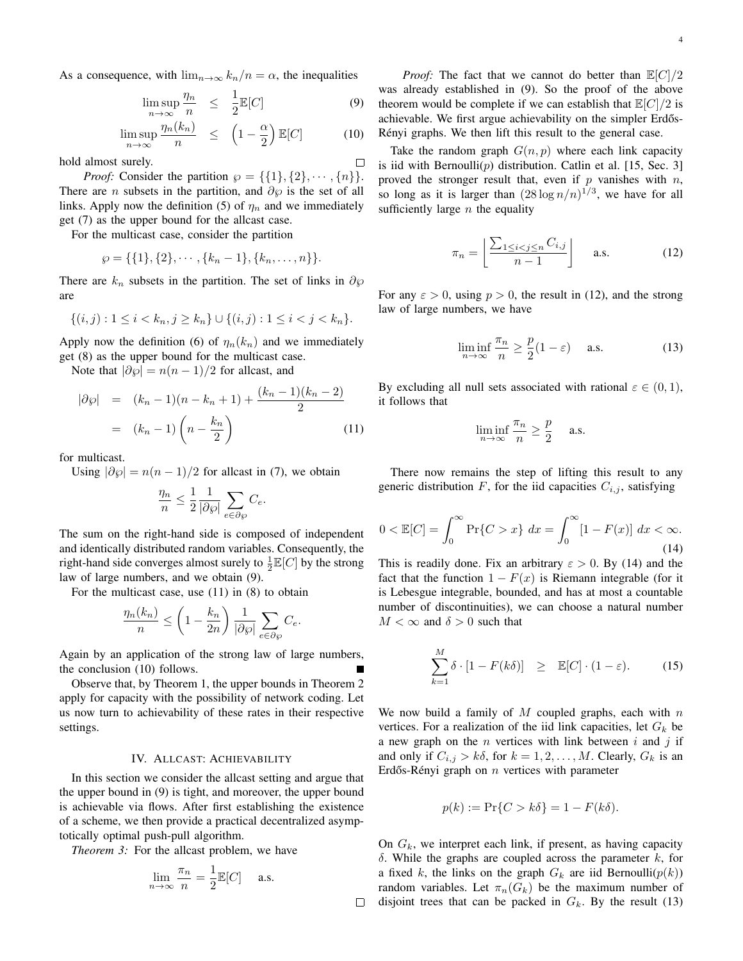As a consequence, with  $\lim_{n\to\infty} k_n/n = \alpha$ , the inequalities

$$
\limsup_{n \to \infty} \frac{\eta_n}{n} \le \frac{1}{2} \mathbb{E}[C] \tag{9}
$$

 $\Box$ 

$$
\limsup_{n \to \infty} \frac{\eta_n(k_n)}{n} \le \left(1 - \frac{\alpha}{2}\right) \mathbb{E}[C] \tag{10}
$$

hold almost surely.

*Proof:* Consider the partition  $\wp = \{\{1\}, \{2\}, \cdots, \{n\}\}.$ There are *n* subsets in the partition, and  $\partial\varphi$  is the set of all links. Apply now the definition (5) of  $\eta_n$  and we immediately get (7) as the upper bound for the allcast case.

For the multicast case, consider the partition

$$
\wp = \{\{1\},\{2\},\cdots,\{k_n-1\},\{k_n,\ldots,n\}\}.
$$

There are  $k_n$  subsets in the partition. The set of links in  $\partial \varphi$ are

$$
\{(i,j): 1 \le i < k_n, j \ge k_n\} \cup \{(i,j): 1 \le i < j < k_n\}.
$$

Apply now the definition (6) of  $\eta_n(k_n)$  and we immediately get (8) as the upper bound for the multicast case.

Note that  $|\partial \varphi| = n(n-1)/2$  for allcast, and

$$
|\partial \varphi| = (k_n - 1)(n - k_n + 1) + \frac{(k_n - 1)(k_n - 2)}{2}
$$
  
=  $(k_n - 1)\left(n - \frac{k_n}{2}\right)$  (11)

for multicast.

Using  $|\partial \varphi| = n(n-1)/2$  for allcast in (7), we obtain

$$
\frac{\eta_n}{n} \le \frac{1}{2} \frac{1}{|\partial \varphi|} \sum_{e \in \partial \varphi} C_e.
$$

The sum on the right-hand side is composed of independent and identically distributed random variables. Consequently, the right-hand side converges almost surely to  $\frac{1}{2}\mathbb{E}[C]$  by the strong law of large numbers, and we obtain (9).

For the multicast case, use (11) in (8) to obtain

$$
\frac{\eta_n(k_n)}{n} \le \left(1 - \frac{k_n}{2n}\right) \frac{1}{|\partial \wp|} \sum_{e \in \partial \wp} C_e.
$$

Again by an application of the strong law of large numbers, the conclusion (10) follows.

Observe that, by Theorem 1, the upper bounds in Theorem 2 apply for capacity with the possibility of network coding. Let us now turn to achievability of these rates in their respective settings.

#### IV. ALLCAST: ACHIEVABILITY

In this section we consider the allcast setting and argue that the upper bound in (9) is tight, and moreover, the upper bound is achievable via flows. After first establishing the existence of a scheme, we then provide a practical decentralized asymptotically optimal push-pull algorithm.

*Theorem 3:* For the allcast problem, we have

$$
\lim_{n \to \infty} \frac{\pi_n}{n} = \frac{1}{2} \mathbb{E}[C] \quad \text{a.s.}
$$

*Proof:* The fact that we cannot do better than  $\mathbb{E}[C]/2$ was already established in (9). So the proof of the above theorem would be complete if we can establish that  $\mathbb{E}[C]/2$  is achievable. We first argue achievability on the simpler Erdős-Rényi graphs. We then lift this result to the general case.

Take the random graph  $G(n, p)$  where each link capacity is iid with Bernoulli $(p)$  distribution. Catlin et al. [15, Sec. 3] proved the stronger result that, even if  $p$  vanishes with  $n$ , so long as it is larger than  $(28 \log n/n)^{1/3}$ , we have for all sufficiently large  $n$  the equality

$$
\pi_n = \left\lfloor \frac{\sum_{1 \le i < j \le n} C_{i,j}}{n-1} \right\rfloor \quad \text{a.s.} \tag{12}
$$

For any  $\varepsilon > 0$ , using  $p > 0$ , the result in (12), and the strong law of large numbers, we have

$$
\liminf_{n \to \infty} \frac{\pi_n}{n} \ge \frac{p}{2}(1 - \varepsilon) \quad \text{a.s.} \tag{13}
$$

By excluding all null sets associated with rational  $\varepsilon \in (0,1)$ , it follows that

$$
\liminf_{n \to \infty} \frac{\pi_n}{n} \ge \frac{p}{2} \quad \text{a.s.}
$$

There now remains the step of lifting this result to any generic distribution  $F$ , for the iid capacities  $C_{i,j}$ , satisfying

$$
0 < \mathbb{E}[C] = \int_0^\infty \Pr\{C > x\} \, dx = \int_0^\infty [1 - F(x)] \, dx < \infty. \tag{14}
$$

This is readily done. Fix an arbitrary  $\varepsilon > 0$ . By (14) and the fact that the function  $1 - F(x)$  is Riemann integrable (for it is Lebesgue integrable, bounded, and has at most a countable number of discontinuities), we can choose a natural number  $M < \infty$  and  $\delta > 0$  such that

$$
\sum_{k=1}^{M} \delta \cdot [1 - F(k\delta)] \ge \mathbb{E}[C] \cdot (1 - \varepsilon). \tag{15}
$$

We now build a family of  $M$  coupled graphs, each with  $n$ vertices. For a realization of the iid link capacities, let  $G_k$  be a new graph on the  $n$  vertices with link between  $i$  and  $j$  if and only if  $C_{i,j} > k\delta$ , for  $k = 1, 2, ..., M$ . Clearly,  $G_k$  is an Erdős-Rényi graph on  $n$  vertices with parameter

$$
p(k) := \Pr\{C > k\delta\} = 1 - F(k\delta).
$$

On  $G_k$ , we interpret each link, if present, as having capacity δ. While the graphs are coupled across the parameter  $k$ , for a fixed k, the links on the graph  $G_k$  are iid Bernoulli $(p(k))$ random variables. Let  $\pi_n(G_k)$  be the maximum number of  $\Box$  disjoint trees that can be packed in  $G_k$ . By the result (13)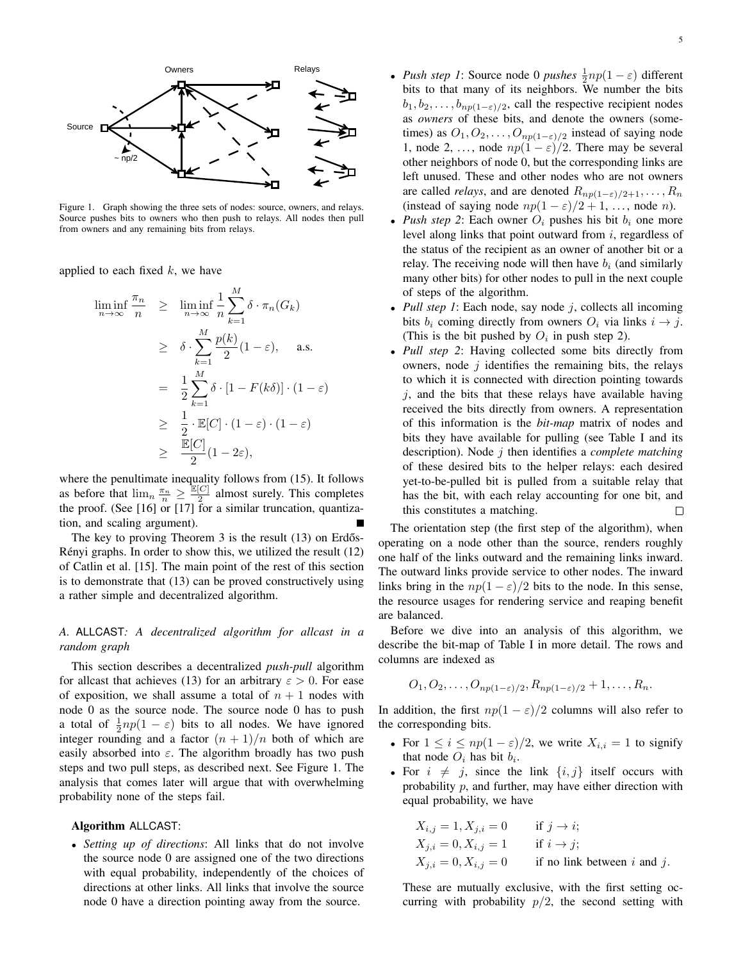

Figure 1. Graph showing the three sets of nodes: source, owners, and relays. Source pushes bits to owners who then push to relays. All nodes then pull from owners and any remaining bits from relays.

applied to each fixed  $k$ , we have

$$
\liminf_{n \to \infty} \frac{\pi_n}{n} \geq \liminf_{n \to \infty} \frac{1}{n} \sum_{k=1}^{M} \delta \cdot \pi_n(G_k)
$$
\n
$$
\geq \delta \cdot \sum_{k=1}^{M} \frac{p(k)}{2} (1 - \varepsilon), \quad \text{a.s.}
$$
\n
$$
= \frac{1}{2} \sum_{k=1}^{M} \delta \cdot [1 - F(k\delta)] \cdot (1 - \varepsilon)
$$
\n
$$
\geq \frac{1}{2} \cdot \mathbb{E}[C] \cdot (1 - \varepsilon) \cdot (1 - \varepsilon)
$$
\n
$$
\geq \frac{\mathbb{E}[C]}{2} (1 - 2\varepsilon),
$$

where the penultimate inequality follows from (15). It follows as before that  $\lim_{n} \frac{\pi_n}{n} \geq \frac{\mathbb{E}[C]}{2}$  $\frac{C_1}{2}$  almost surely. This completes the proof. (See [16] or [17] for a similar truncation, quantization, and scaling argument).

The key to proving Theorem 3 is the result  $(13)$  on Erdős-Rényi graphs. In order to show this, we utilized the result (12) of Catlin et al. [15]. The main point of the rest of this section is to demonstrate that (13) can be proved constructively using a rather simple and decentralized algorithm.

# *A.* ALLCAST*: A decentralized algorithm for allcast in a random graph*

This section describes a decentralized *push-pull* algorithm for allcast that achieves (13) for an arbitrary  $\varepsilon > 0$ . For ease of exposition, we shall assume a total of  $n + 1$  nodes with node 0 as the source node. The source node 0 has to push a total of  $\frac{1}{2}np(1-\varepsilon)$  bits to all nodes. We have ignored integer rounding and a factor  $(n + 1)/n$  both of which are easily absorbed into  $\varepsilon$ . The algorithm broadly has two push steps and two pull steps, as described next. See Figure 1. The analysis that comes later will argue that with overwhelming probability none of the steps fail.

# Algorithm ALLCAST:

• *Setting up of directions*: All links that do not involve the source node 0 are assigned one of the two directions with equal probability, independently of the choices of directions at other links. All links that involve the source node 0 have a direction pointing away from the source.

- *Push step 1*: Source node 0 *pushes*  $\frac{1}{2}np(1-\varepsilon)$  different bits to that many of its neighbors. We number the bits  $b_1, b_2, \ldots, b_{np(1-\varepsilon)/2}$ , call the respective recipient nodes as *owners* of these bits, and denote the owners (sometimes) as  $O_1, O_2, \ldots, O_{np(1-\varepsilon)/2}$  instead of saying node 1, node 2, ..., node  $np(1 - \varepsilon)/2$ . There may be several other neighbors of node 0, but the corresponding links are left unused. These and other nodes who are not owners are called *relays*, and are denoted  $R_{np(1-\varepsilon)/2+1}, \ldots, R_n$ (instead of saying node  $np(1 - \varepsilon)/2 + 1, \ldots$ , node *n*).
- *Push step 2*: Each owner  $O_i$  pushes his bit  $b_i$  one more level along links that point outward from  $i$ , regardless of the status of the recipient as an owner of another bit or a relay. The receiving node will then have  $b_i$  (and similarly many other bits) for other nodes to pull in the next couple of steps of the algorithm.
- *Pull step 1*: Each node, say node  $j$ , collects all incoming bits  $b_i$  coming directly from owners  $O_i$  via links  $i \rightarrow j$ . (This is the bit pushed by  $O_i$  in push step 2).
- *Pull step 2*: Having collected some bits directly from owners, node  $j$  identifies the remaining bits, the relays to which it is connected with direction pointing towards  $j$ , and the bits that these relays have available having received the bits directly from owners. A representation of this information is the *bit-map* matrix of nodes and bits they have available for pulling (see Table I and its description). Node j then identifies a *complete matching* of these desired bits to the helper relays: each desired yet-to-be-pulled bit is pulled from a suitable relay that has the bit, with each relay accounting for one bit, and this constitutes a matching.  $\Box$

The orientation step (the first step of the algorithm), when operating on a node other than the source, renders roughly one half of the links outward and the remaining links inward. The outward links provide service to other nodes. The inward links bring in the  $np(1 - \varepsilon)/2$  bits to the node. In this sense, the resource usages for rendering service and reaping benefit are balanced.

Before we dive into an analysis of this algorithm, we describe the bit-map of Table I in more detail. The rows and columns are indexed as

$$
O_1, O_2, \ldots, O_{np(1-\varepsilon)/2}, R_{np(1-\varepsilon)/2}+1, \ldots, R_n.
$$

In addition, the first  $np(1 - \varepsilon)/2$  columns will also refer to the corresponding bits.

- For  $1 \leq i \leq np(1-\varepsilon)/2$ , we write  $X_{i,i} = 1$  to signify that node  $O_i$  has bit  $b_i$ .
- For  $i \neq j$ , since the link  $\{i, j\}$  itself occurs with probability  $p$ , and further, may have either direction with equal probability, we have

Xi,j = 1, Xj,i = 0 if j → i; Xj,i = 0, Xi,j = 1 if i → j; Xj,i = 0, Xi,j = 0 if no link between i and j.

These are mutually exclusive, with the first setting occurring with probability  $p/2$ , the second setting with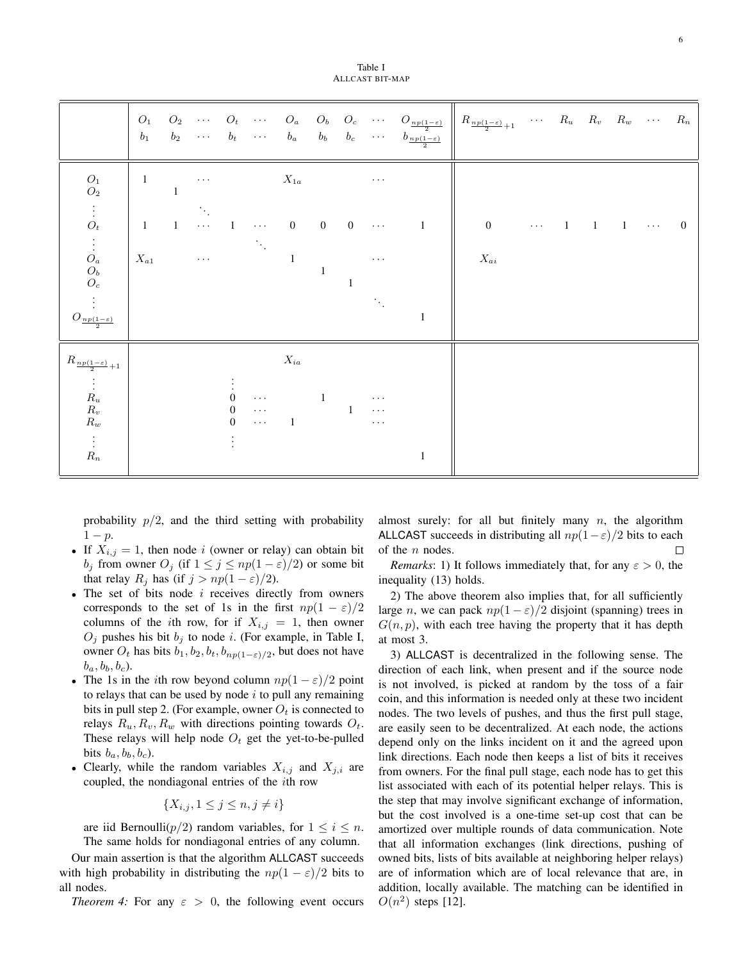Table I ALLCAST BIT-MAP

|                                                                                          | $O_1$<br>$\mathfrak{b}_1$ |                |                     |                                  |                                   |                         |                |                         |                                  | $b_2 \quad \cdots \quad b_t \quad \cdots \quad b_a \quad b_b \quad b_c \quad \cdots \quad b_{\frac{n p (1-\varepsilon)}{2}}$ | $O_2$ $O_t$ $O_a$ $O_b$ $O_c$ $O_{\frac{np(1-\varepsilon)}{2}} \parallel R_{\frac{np(1-\varepsilon)}{2}+1}$ $R_u$ $R_v$ $R_w$ $R_n$ |            |             |                             |                |
|------------------------------------------------------------------------------------------|---------------------------|----------------|---------------------|----------------------------------|-----------------------------------|-------------------------|----------------|-------------------------|----------------------------------|------------------------------------------------------------------------------------------------------------------------------|-------------------------------------------------------------------------------------------------------------------------------------|------------|-------------|-----------------------------|----------------|
| $\mathcal{O}_1 \\ \mathcal{O}_2$                                                         | $\overline{1}$            | $\mathbf{1}$   | $\ldots$            |                                  |                                   | $X_{1a}$                |                |                         | $\ldots$                         |                                                                                                                              |                                                                                                                                     |            |             |                             |                |
| $\begin{array}{c} \vdots \\ O_t \end{array}$                                             | $\mathbf{1}$              | $\overline{1}$ | $\cdots$ 1          |                                  | $\ldots$                          | $\overline{\mathbf{0}}$ | $\overline{0}$ | $\overline{\mathbf{0}}$ | $\sim$ $\sim$ $\sim$             | $\overline{1}$                                                                                                               | $\mathbf{0}$                                                                                                                        | $\cdots$ 1 | $1 \quad 1$ | $\sim$ $\sim$ $\sim$ $\sim$ | $\overline{0}$ |
| $\begin{array}{c} \vdots \ O_a \ O_b \ O_c \end{array}$                                  | $X_{a1}$                  |                | $\leftrightarrow$ . |                                  |                                   | $\overline{1}$          | $\mathbf{1}$   | $\mathbf{1}$            | $\sim$ $\sim$ $\sim$             |                                                                                                                              | $X_{ai}$                                                                                                                            |            |             |                             |                |
| $\frac{1}{2}$ .<br>$O_{\frac{np(1-\varepsilon)}{2}}$                                     |                           |                |                     |                                  |                                   |                         |                |                         |                                  | $\mathbf{1}$                                                                                                                 |                                                                                                                                     |            |             |                             |                |
| $R_{\frac{np(1-\varepsilon)}{2}+1}$                                                      |                           |                |                     |                                  |                                   | $X_{ia}$                |                |                         |                                  |                                                                                                                              |                                                                                                                                     |            |             |                             |                |
| $\begin{array}{c} \vdots \\ R_u \\ R_v \end{array}$<br>$\mathcal{R}_w$<br>$\vdots$ $R_n$ |                           |                |                     | $\Omega$<br>$\Omega$<br>$\Omega$ | $\ldots$<br>$\ddotsc$<br>$\sim$ . | $\overline{1}$          | $\mathbf{1}$   |                         | $\cdots$<br>$\ddots$<br>$\ddots$ | $\mathbf{1}$                                                                                                                 |                                                                                                                                     |            |             |                             |                |

probability  $p/2$ , and the third setting with probability  $1-p$ .

- If  $X_{i,j} = 1$ , then node i (owner or relay) can obtain bit  $b_j$  from owner  $O_j$  (if  $1 \le j \le np(1-\varepsilon)/2$ ) or some bit that relay  $R_i$  has (if  $j > np(1 - \varepsilon)/2$ ).
- $\bullet$  The set of bits node  $i$  receives directly from owners corresponds to the set of 1s in the first  $np(1 - \varepsilon)/2$ columns of the *i*th row, for if  $X_{i,j} = 1$ , then owner  $O_i$  pushes his bit  $b_j$  to node i. (For example, in Table I, owner  $O_t$  has bits  $b_1, b_2, b_t, b_{np(1-\varepsilon)/2}$ , but does not have  $b_a, b_b, b_c$ ).
- The 1s in the *i*th row beyond column  $np(1 \varepsilon)/2$  point to relays that can be used by node  $i$  to pull any remaining bits in pull step 2. (For example, owner  $O_t$  is connected to relays  $R_u, R_v, R_w$  with directions pointing towards  $O_t$ . These relays will help node  $O_t$  get the yet-to-be-pulled bits  $b_a, b_b, b_c$ ).
- Clearly, while the random variables  $X_{i,j}$  and  $X_{j,i}$  are coupled, the nondiagonal entries of the ith row

$$
\{X_{i,j}, 1 \le j \le n, j \ne i\}
$$

are iid Bernoulli( $p/2$ ) random variables, for  $1 \leq i \leq n$ . The same holds for nondiagonal entries of any column.

Our main assertion is that the algorithm ALLCAST succeeds with high probability in distributing the  $np(1 - \varepsilon)/2$  bits to all nodes.

*Theorem 4:* For any  $\varepsilon > 0$ , the following event occurs

almost surely: for all but finitely many  $n$ , the algorithm ALLCAST succeeds in distributing all  $np(1-\varepsilon)/2$  bits to each of the *n* nodes. of the *n* nodes.

*Remarks*: 1) It follows immediately that, for any  $\varepsilon > 0$ , the inequality (13) holds.

2) The above theorem also implies that, for all sufficiently large n, we can pack  $np(1-\varepsilon)/2$  disjoint (spanning) trees in  $G(n, p)$ , with each tree having the property that it has depth at most 3.

3) ALLCAST is decentralized in the following sense. The direction of each link, when present and if the source node is not involved, is picked at random by the toss of a fair coin, and this information is needed only at these two incident nodes. The two levels of pushes, and thus the first pull stage, are easily seen to be decentralized. At each node, the actions depend only on the links incident on it and the agreed upon link directions. Each node then keeps a list of bits it receives from owners. For the final pull stage, each node has to get this list associated with each of its potential helper relays. This is the step that may involve significant exchange of information, but the cost involved is a one-time set-up cost that can be amortized over multiple rounds of data communication. Note that all information exchanges (link directions, pushing of owned bits, lists of bits available at neighboring helper relays) are of information which are of local relevance that are, in addition, locally available. The matching can be identified in  $O(n^2)$  steps [12].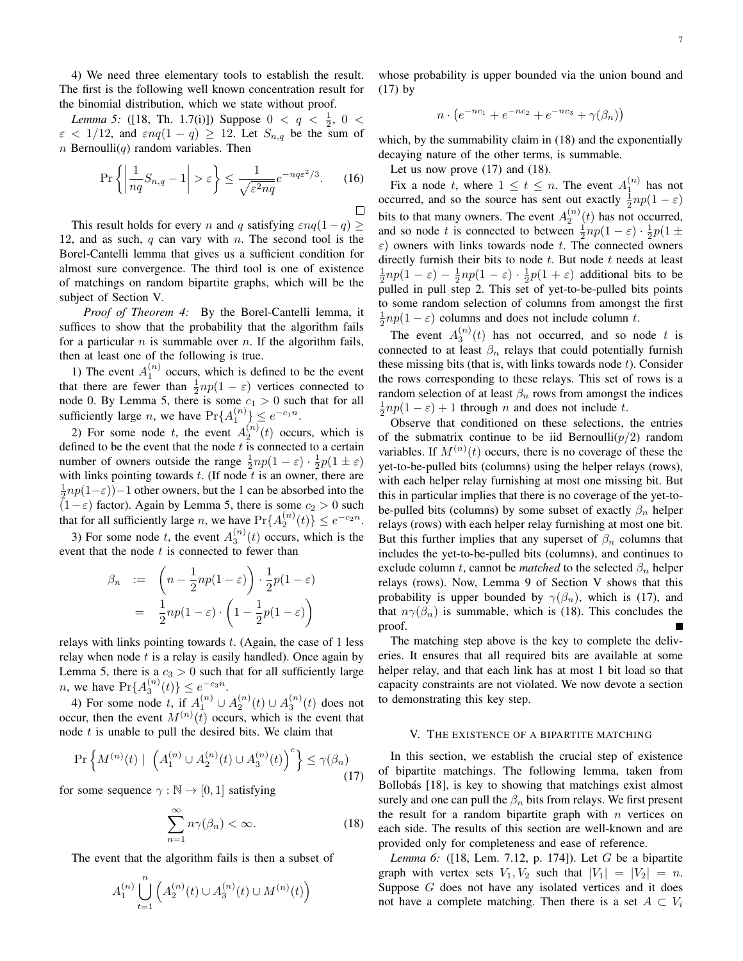4) We need three elementary tools to establish the result. The first is the following well known concentration result for the binomial distribution, which we state without proof.

*Lemma 5:* ([18, Th. 1.7(i)]) Suppose  $0 < q < \frac{1}{2}$ ,  $0 <$  $\varepsilon$  < 1/12, and  $\varepsilon nq(1-q) \ge 12$ . Let  $S_{n,q}$  be the sum of  $n$  Bernoulli $(q)$  random variables. Then

$$
\Pr\left\{ \left| \frac{1}{nq} S_{n,q} - 1 \right| > \varepsilon \right\} \le \frac{1}{\sqrt{\varepsilon^2 nq}} e^{-nq\varepsilon^2/3}.
$$
 (16)

This result holds for every n and q satisfying  $\varepsilon nq(1-q) \geq$ 12, and as such,  $q$  can vary with  $n$ . The second tool is the Borel-Cantelli lemma that gives us a sufficient condition for almost sure convergence. The third tool is one of existence of matchings on random bipartite graphs, which will be the subject of Section V.

*Proof of Theorem 4:* By the Borel-Cantelli lemma, it suffices to show that the probability that the algorithm fails for a particular n is summable over n. If the algorithm fails, then at least one of the following is true.

1) The event  $A_1^{(n)}$  occurs, which is defined to be the event that there are fewer than  $\frac{1}{2}np(1-\varepsilon)$  vertices connected to node 0. By Lemma 5, there is some  $c_1 > 0$  such that for all sufficiently large *n*, we have  $Pr{A_1^{(n)}} \le e^{-c_1 n}$ .

2) For some node t, the event  $A_2^{(n)}(t)$  occurs, which is defined to be the event that the node  $t$  is connected to a certain number of owners outside the range  $\frac{1}{2}np(1-\varepsilon)\cdot\frac{1}{2}p(1\pm\varepsilon)$ with links pointing towards  $t$ . (If node  $t$  is an owner, there are  $\frac{1}{2}np(1-\varepsilon)$ )−1 other owners, but the 1 can be absorbed into the  $(1-\varepsilon)$  factor). Again by Lemma 5, there is some  $c_2 > 0$  such that for all sufficiently large *n*, we have  $Pr{A_2^{(n)}(t)} \le e^{-c_2 n}$ .

3) For some node t, the event  $A_3^{(n)}(t)$  occurs, which is the event that the node  $t$  is connected to fewer than

$$
\beta_n := \left( n - \frac{1}{2} np(1 - \varepsilon) \right) \cdot \frac{1}{2} p(1 - \varepsilon)
$$

$$
= \frac{1}{2} np(1 - \varepsilon) \cdot \left( 1 - \frac{1}{2} p(1 - \varepsilon) \right)
$$

relays with links pointing towards  $t$ . (Again, the case of 1 less relay when node  $t$  is a relay is easily handled). Once again by Lemma 5, there is a  $c_3 > 0$  such that for all sufficiently large *n*, we have  $Pr{A_3^{(n)}(t)} \le e^{-c_3 n}$ .

4) For some node t, if  $A_1^{(n)} \cup A_2^{(n)}(t) \cup A_3^{(n)}(t)$  does not occur, then the event  $M^{(n)}(t)$  occurs, which is the event that node  $t$  is unable to pull the desired bits. We claim that

$$
\Pr\left\{M^{(n)}(t) \mid \left(A_1^{(n)} \cup A_2^{(n)}(t) \cup A_3^{(n)}(t)\right)^c\right\} \le \gamma(\beta_n) \tag{17}
$$

for some sequence  $\gamma : \mathbb{N} \to [0, 1]$  satisfying

$$
\sum_{n=1}^{\infty} n\gamma(\beta_n) < \infty. \tag{18}
$$

The event that the algorithm fails is then a subset of

$$
A_1^{(n)}\bigcup_{t=1}^n \left(A_2^{(n)}(t)\cup A_3^{(n)}(t)\cup M^{(n)}(t)\right)
$$

whose probability is upper bounded via the union bound and (17) by

$$
n \cdot (e^{-nc_1} + e^{-nc_2} + e^{-nc_3} + \gamma(\beta_n))
$$

which, by the summability claim in  $(18)$  and the exponentially decaying nature of the other terms, is summable.

Let us now prove (17) and (18).

 $\Box$ 

Fix a node t, where  $1 \le t \le n$ . The event  $A_1^{(n)}$  has not occurred, and so the source has sent out exactly  $\frac{1}{2}np(1-\varepsilon)$ bits to that many owners. The event  $A_2^{(n)}(t)$  has not occurred, and so node t is connected to between  $\frac{1}{2}np(1-\varepsilon)\cdot\frac{1}{2}p(1\pm\frac{1}{2})$  $\varepsilon$ ) owners with links towards node t. The connected owners directly furnish their bits to node  $t$ . But node  $t$  needs at least  $\frac{1}{2}np(1-\varepsilon) - \frac{1}{2}np(1-\varepsilon) \cdot \frac{1}{2}p(1+\varepsilon)$  additional bits to be pulled in pull step 2. This set of yet-to-be-pulled bits points to some random selection of columns from amongst the first  $\frac{1}{2}np(1-\varepsilon)$  columns and does not include column t. 2

The event  $A_3^{(n)}(t)$  has not occurred, and so node t is connected to at least  $\beta_n$  relays that could potentially furnish these missing bits (that is, with links towards node  $t$ ). Consider the rows corresponding to these relays. This set of rows is a random selection of at least  $\beta_n$  rows from amongst the indices  $\frac{1}{2}np(1-\varepsilon) + 1$  through *n* and does not include *t*.

Observe that conditioned on these selections, the entries of the submatrix continue to be iid Bernoulli( $p/2$ ) random variables. If  $M^{(n)}(t)$  occurs, there is no coverage of these the yet-to-be-pulled bits (columns) using the helper relays (rows), with each helper relay furnishing at most one missing bit. But this in particular implies that there is no coverage of the yet-tobe-pulled bits (columns) by some subset of exactly  $\beta_n$  helper relays (rows) with each helper relay furnishing at most one bit. But this further implies that any superset of  $\beta_n$  columns that includes the yet-to-be-pulled bits (columns), and continues to exclude column t, cannot be *matched* to the selected  $\beta_n$  helper relays (rows). Now, Lemma 9 of Section V shows that this probability is upper bounded by  $\gamma(\beta_n)$ , which is (17), and that  $n\gamma(\beta_n)$  is summable, which is (18). This concludes the proof.

The matching step above is the key to complete the deliveries. It ensures that all required bits are available at some helper relay, and that each link has at most 1 bit load so that capacity constraints are not violated. We now devote a section to demonstrating this key step.

# V. THE EXISTENCE OF A BIPARTITE MATCHING

In this section, we establish the crucial step of existence of bipartite matchings. The following lemma, taken from Bollobás [18], is key to showing that matchings exist almost surely and one can pull the  $\beta_n$  bits from relays. We first present the result for a random bipartite graph with  $n$  vertices on each side. The results of this section are well-known and are provided only for completeness and ease of reference.

*Lemma 6:* ([18, Lem. 7.12, p. 174]). Let G be a bipartite graph with vertex sets  $V_1, V_2$  such that  $|V_1| = |V_2| = n$ . Suppose  $G$  does not have any isolated vertices and it does not have a complete matching. Then there is a set  $A \subset V_i$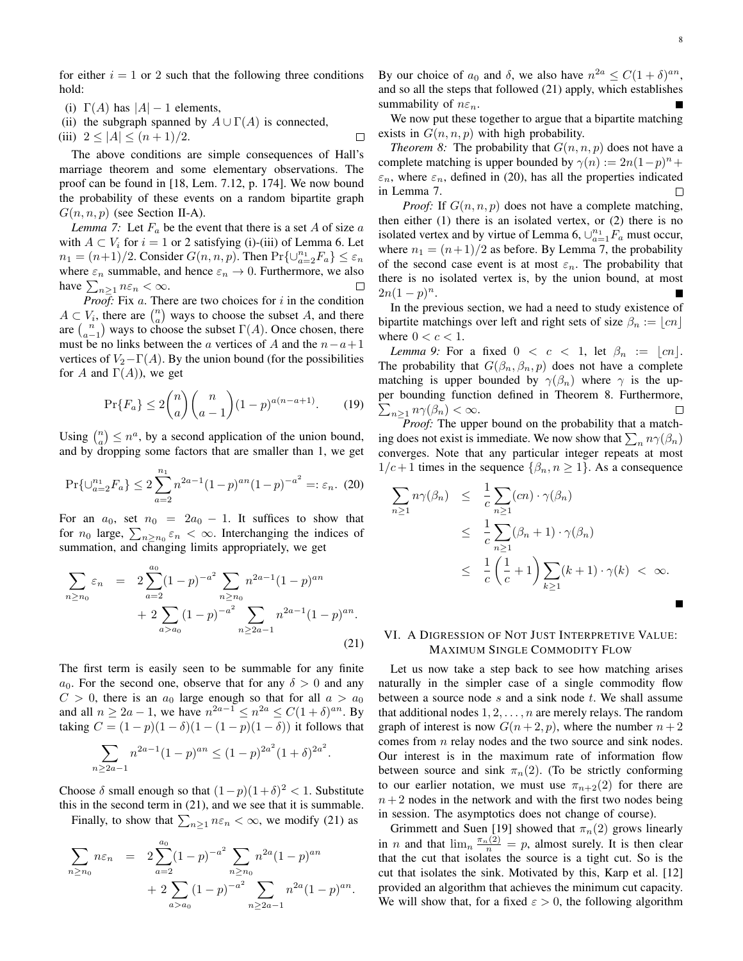for either  $i = 1$  or 2 such that the following three conditions hold:

- (i)  $\Gamma(A)$  has  $|A| 1$  elements,
- (ii) the subgraph spanned by  $A \cup \Gamma(A)$  is connected,

(iii) 
$$
2 \le |A| \le (n+1)/2
$$
.

 $\Box$ 

The above conditions are simple consequences of Hall's marriage theorem and some elementary observations. The proof can be found in [18, Lem. 7.12, p. 174]. We now bound the probability of these events on a random bipartite graph  $G(n, n, p)$  (see Section II-A).

*Lemma 7:* Let  $F_a$  be the event that there is a set A of size  $a$ with  $A \subset V_i$  for  $i = 1$  or 2 satisfying (i)-(iii) of Lemma 6. Let  $n_1 = (n+1)/2$ . Consider  $G(n, n, p)$ . Then  $Pr{\cup_{a=2}^{n_1} F_a} \leq \varepsilon_n$ where  $\varepsilon_n$  summable, and hence  $\varepsilon_n \to 0$ . Furthermore, we also have  $\sum_{n\geq 1} n\varepsilon_n < \infty$ .  $\Box$ 

*Proof:* Fix  $a$ . There are two choices for  $i$  in the condition  $A \subset V_i$ , there are  $\binom{n}{a}$  ways to choose the subset A, and there are  $\binom{n}{a-1}$  ways to choose the subset  $\Gamma(A)$ . Once chosen, there must be no links between the a vertices of A and the  $n-a+1$ vertices of  $V_2-\Gamma(A)$ . By the union bound (for the possibilities for A and  $\Gamma(A)$ ), we get

$$
\Pr\{F_a\} \le 2\binom{n}{a}\binom{n}{a-1}(1-p)^{a(n-a+1)}.\tag{19}
$$

Using  $\binom{n}{a} \leq n^a$ , by a second application of the union bound, and by dropping some factors that are smaller than 1, we get

$$
\Pr\{\cup_{a=2}^{n_1} F_a\} \le 2 \sum_{a=2}^{n_1} n^{2a-1} (1-p)^{an} (1-p)^{-a^2} =: \varepsilon_n. (20)
$$

For an  $a_0$ , set  $n_0 = 2a_0 - 1$ . It suffices to show that for  $n_0$  large,  $\sum_{n \ge n_0} \varepsilon_n < \infty$ . Interchanging the indices of summation, and changing limits appropriately, we get

$$
\sum_{n\geq n_0} \varepsilon_n = 2 \sum_{a=2}^{a_0} (1-p)^{-a^2} \sum_{n\geq n_0} n^{2a-1} (1-p)^{an}
$$
  
+ 
$$
2 \sum_{a>a_0} (1-p)^{-a^2} \sum_{n\geq 2a-1} n^{2a-1} (1-p)^{an}.
$$
 (21)

The first term is easily seen to be summable for any finite  $a_0$ . For the second one, observe that for any  $\delta > 0$  and any  $C > 0$ , there is an  $a_0$  large enough so that for all  $a > a_0$ and all  $n \ge 2a - 1$ , we have  $n^{2a-1} \le n^{2a} \le C(1+\delta)^{an}$ . By taking  $C = (1 - p)(1 - \delta)(1 - (1 - p)(1 - \delta))$  it follows that

$$
\sum_{n\geq 2a-1} n^{2a-1} (1-p)^{an} \leq (1-p)^{2a^2} (1+\delta)^{2a^2}.
$$

Choose  $\delta$  small enough so that  $(1-p)(1+\delta)^2 < 1$ . Substitute this in the second term in (21), and we see that it is summable.

Finally, to show that  $\sum_{n\geq 1} n\varepsilon_n < \infty$ , we modify (21) as

$$
\sum_{n\geq n_0} n\varepsilon_n = 2 \sum_{a=2}^{a_0} (1-p)^{-a^2} \sum_{n\geq n_0} n^{2a} (1-p)^{an}
$$
  
+ 
$$
2 \sum_{a>a_0} (1-p)^{-a^2} \sum_{n\geq 2a-1} n^{2a} (1-p)^{an}.
$$

By our choice of  $a_0$  and  $\delta$ , we also have  $n^{2a} \le C(1+\delta)^{an}$ , and so all the steps that followed (21) apply, which establishes summability of  $n\varepsilon_n$ .

We now put these together to argue that a bipartite matching exists in  $G(n, n, p)$  with high probability.

*Theorem 8:* The probability that  $G(n, n, p)$  does not have a complete matching is upper bounded by  $\gamma(n) := 2n(1-p)^n +$  $\varepsilon_n$ , where  $\varepsilon_n$ , defined in (20), has all the properties indicated in Lemma 7. Г

*Proof:* If  $G(n, n, p)$  does not have a complete matching, then either (1) there is an isolated vertex, or (2) there is no isolated vertex and by virtue of Lemma 6,  $\bigcup_{a=1}^{n_1} F_a$  must occur, where  $n_1 = (n+1)/2$  as before. By Lemma 7, the probability of the second case event is at most  $\varepsilon_n$ . The probability that there is no isolated vertex is, by the union bound, at most  $2n(1-p)^n$ .

In the previous section, we had a need to study existence of bipartite matchings over left and right sets of size  $\beta_n := |cn|$ where  $0 < c < 1$ .

*Lemma 9:* For a fixed  $0 < c < 1$ , let  $\beta_n := |cn|$ . The probability that  $G(\beta_n, \beta_n, p)$  does not have a complete matching is upper bounded by  $\gamma(\beta_n)$  where  $\gamma$  is the upper bounding function defined in Theorem 8. Furthermore,  $\sum_{n\geq 1} n\gamma(\beta_n) < \infty.$  $\Box$ 

*Proof:* The upper bound on the probability that a matching does not exist is immediate. We now show that  $\sum_n n\gamma(\beta_n)$ converges. Note that any particular integer repeats at most  $1/c+1$  times in the sequence  $\{\beta_n, n \geq 1\}$ . As a consequence

$$
\sum_{n\geq 1} n\gamma(\beta_n) \leq \frac{1}{c} \sum_{n\geq 1} (cn) \cdot \gamma(\beta_n)
$$
\n
$$
\leq \frac{1}{c} \sum_{n\geq 1} (\beta_n + 1) \cdot \gamma(\beta_n)
$$
\n
$$
\leq \frac{1}{c} \left(\frac{1}{c} + 1\right) \sum_{k\geq 1} (k+1) \cdot \gamma(k) < \infty.
$$

#### VI. A DIGRESSION OF NOT JUST INTERPRETIVE VALUE: MAXIMUM SINGLE COMMODITY FLOW

Let us now take a step back to see how matching arises naturally in the simpler case of a single commodity flow between a source node  $s$  and a sink node  $t$ . We shall assume that additional nodes  $1, 2, \ldots, n$  are merely relays. The random graph of interest is now  $G(n+2, p)$ , where the number  $n+2$ comes from n relay nodes and the two source and sink nodes. Our interest is in the maximum rate of information flow between source and sink  $\pi_n(2)$ . (To be strictly conforming to our earlier notation, we must use  $\pi_{n+2}(2)$  for there are  $n+2$  nodes in the network and with the first two nodes being in session. The asymptotics does not change of course).

Grimmett and Suen [19] showed that  $\pi_n(2)$  grows linearly in *n* and that  $\lim_{n} \frac{\pi_n(2)}{n} = p$ , almost surely. It is then clear that the cut that isolates the source is a tight cut. So is the cut that isolates the sink. Motivated by this, Karp et al. [12] provided an algorithm that achieves the minimum cut capacity. We will show that, for a fixed  $\varepsilon > 0$ , the following algorithm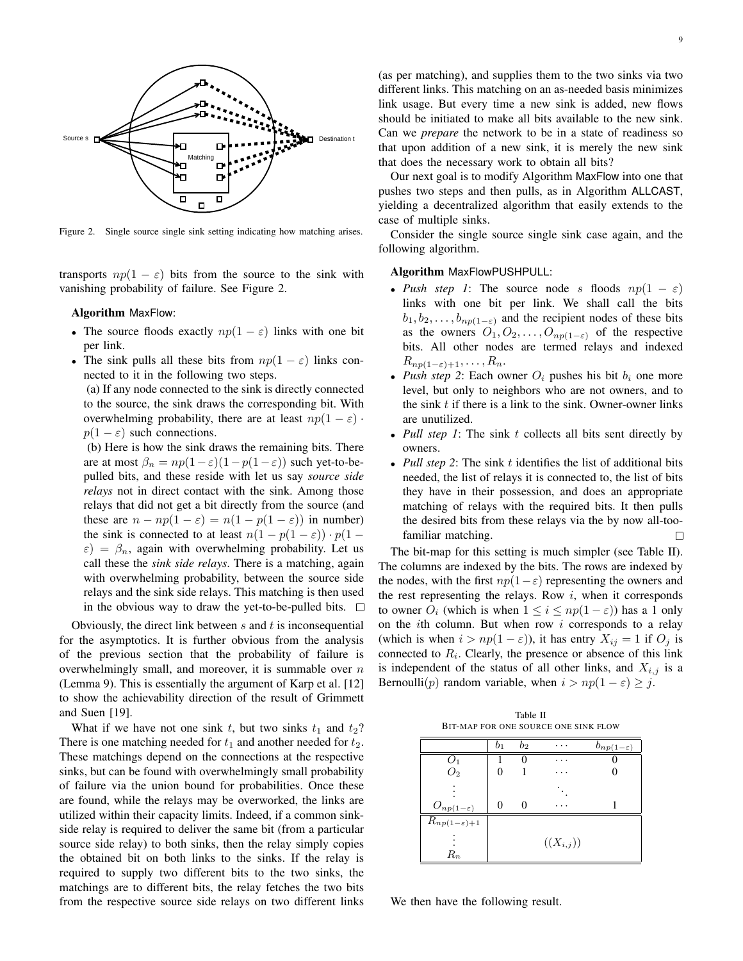

Figure 2. Single source single sink setting indicating how matching arises.

transports  $np(1 - \varepsilon)$  bits from the source to the sink with vanishing probability of failure. See Figure 2.

#### Algorithm MaxFlow:

- The source floods exactly  $np(1 \varepsilon)$  links with one bit per link.
- The sink pulls all these bits from  $np(1 \varepsilon)$  links connected to it in the following two steps.

(a) If any node connected to the sink is directly connected to the source, the sink draws the corresponding bit. With overwhelming probability, there are at least  $np(1 - \varepsilon)$ .  $p(1 - \varepsilon)$  such connections.

(b) Here is how the sink draws the remaining bits. There are at most  $\beta_n = np(1-\varepsilon)(1-p(1-\varepsilon))$  such yet-to-bepulled bits, and these reside with let us say *source side relays* not in direct contact with the sink. Among those relays that did not get a bit directly from the source (and these are  $n - np(1 - \varepsilon) = n(1 - p(1 - \varepsilon))$  in number) the sink is connected to at least  $n(1 - p(1 - \varepsilon)) \cdot p(1 - \varepsilon)$  $\varepsilon$ ) =  $\beta_n$ , again with overwhelming probability. Let us call these the *sink side relays*. There is a matching, again with overwhelming probability, between the source side relays and the sink side relays. This matching is then used in the obvious way to draw the yet-to-be-pulled bits.  $\Box$ 

Obviously, the direct link between  $s$  and  $t$  is inconsequential for the asymptotics. It is further obvious from the analysis of the previous section that the probability of failure is overwhelmingly small, and moreover, it is summable over  $n$ (Lemma 9). This is essentially the argument of Karp et al. [12] to show the achievability direction of the result of Grimmett and Suen [19].

What if we have not one sink t, but two sinks  $t_1$  and  $t_2$ ? There is one matching needed for  $t_1$  and another needed for  $t_2$ . These matchings depend on the connections at the respective sinks, but can be found with overwhelmingly small probability of failure via the union bound for probabilities. Once these are found, while the relays may be overworked, the links are utilized within their capacity limits. Indeed, if a common sinkside relay is required to deliver the same bit (from a particular source side relay) to both sinks, then the relay simply copies the obtained bit on both links to the sinks. If the relay is required to supply two different bits to the two sinks, the matchings are to different bits, the relay fetches the two bits from the respective source side relays on two different links

(as per matching), and supplies them to the two sinks via two different links. This matching on an as-needed basis minimizes link usage. But every time a new sink is added, new flows should be initiated to make all bits available to the new sink. Can we *prepare* the network to be in a state of readiness so that upon addition of a new sink, it is merely the new sink that does the necessary work to obtain all bits?

Our next goal is to modify Algorithm MaxFlow into one that pushes two steps and then pulls, as in Algorithm ALLCAST, yielding a decentralized algorithm that easily extends to the case of multiple sinks.

Consider the single source single sink case again, and the following algorithm.

#### Algorithm MaxFlowPUSHPULL:

- *Push step 1*: The source node s floods  $np(1 \varepsilon)$ links with one bit per link. We shall call the bits  $b_1, b_2, \ldots, b_{np(1-\varepsilon)}$  and the recipient nodes of these bits as the owners  $O_1, O_2, \ldots, O_{np(1-\varepsilon)}$  of the respective bits. All other nodes are termed relays and indexed  $R_{np(1-\varepsilon)+1},\ldots,R_n.$
- *Push step 2*: Each owner  $O_i$  pushes his bit  $b_i$  one more level, but only to neighbors who are not owners, and to the sink  $t$  if there is a link to the sink. Owner-owner links are unutilized.
- *Pull step 1*: The sink t collects all bits sent directly by owners.
- *Pull step 2*: The sink t identifies the list of additional bits needed, the list of relays it is connected to, the list of bits they have in their possession, and does an appropriate matching of relays with the required bits. It then pulls the desired bits from these relays via the by now all-toofamiliar matching.  $\Box$

The bit-map for this setting is much simpler (see Table II). The columns are indexed by the bits. The rows are indexed by the nodes, with the first  $np(1-\varepsilon)$  representing the owners and the rest representing the relays. Row  $i$ , when it corresponds to owner  $O_i$  (which is when  $1 \leq i \leq np(1-\varepsilon)$ ) has a 1 only on the *i*th column. But when row  $i$  corresponds to a relay (which is when  $i > np(1 - \varepsilon)$ ), it has entry  $X_{ij} = 1$  if  $O_j$  is connected to  $R_i$ . Clearly, the presence or absence of this link is independent of the status of all other links, and  $X_{i,j}$  is a Bernoulli(p) random variable, when  $i > np(1 - \varepsilon) \geq j$ .

Table II BIT-MAP FOR ONE SOURCE ONE SINK FLOW

|                                         | b <sub>1</sub> | b <sub>2</sub> |     | $b_{np(1-\varepsilon)}$ |  |  |  |  |
|-----------------------------------------|----------------|----------------|-----|-------------------------|--|--|--|--|
| $O_1$                                   |                |                |     |                         |  |  |  |  |
| O <sub>2</sub>                          |                |                |     |                         |  |  |  |  |
|                                         |                |                |     |                         |  |  |  |  |
|                                         |                |                |     |                         |  |  |  |  |
| $O_{\underline{np(1-\varepsilon)}}$     | 0              | 0              | . . |                         |  |  |  |  |
| $\overline{R_{np}}_{(1-\varepsilon)+1}$ |                |                |     |                         |  |  |  |  |
|                                         | $((X_{i,j}))$  |                |     |                         |  |  |  |  |
| $\scriptstyle R_n$                      |                |                |     |                         |  |  |  |  |

We then have the following result.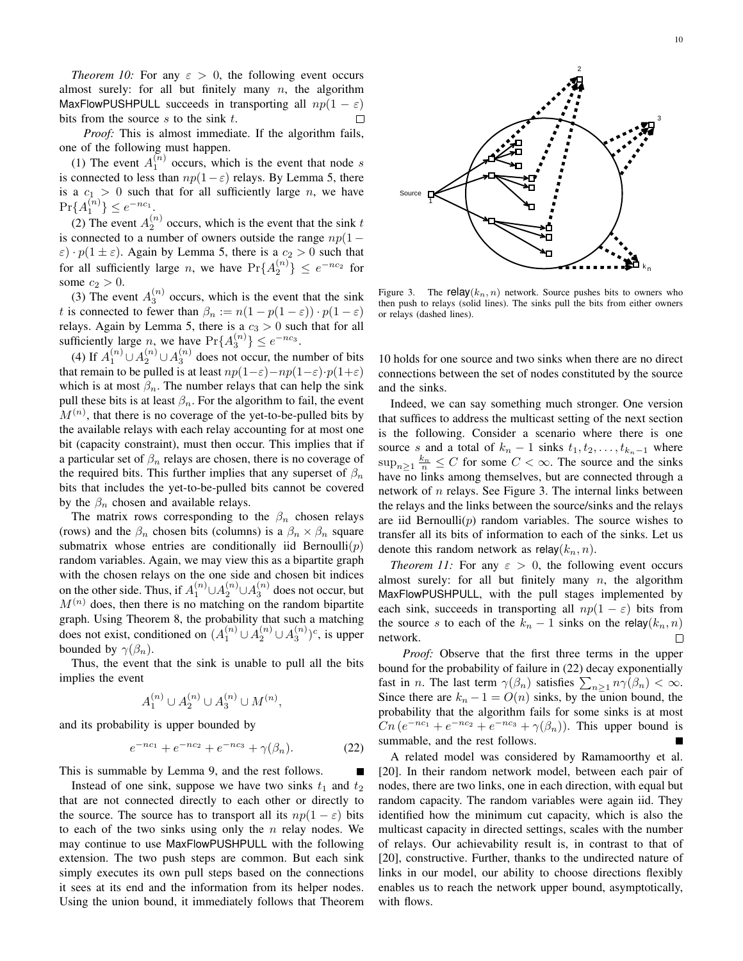*Theorem 10:* For any  $\varepsilon > 0$ , the following event occurs almost surely: for all but finitely many  $n$ , the algorithm MaxFlowPUSHPULL succeeds in transporting all  $np(1 - \varepsilon)$  bits from the source s to the sink t. bits from the source  $s$  to the sink  $t$ .

*Proof:* This is almost immediate. If the algorithm fails, one of the following must happen.

(1) The event  $A_1^{(n)}$  occurs, which is the event that node s is connected to less than  $np(1-\varepsilon)$  relays. By Lemma 5, there is a  $c_1 > 0$  such that for all sufficiently large n, we have  $\Pr\{A_1^{(n)}\} \leq e^{-nc_1}.$ 

(2) The event  $A_2^{(n)}$  occurs, which is the event that the sink t is connected to a number of owners outside the range  $np(1 \varepsilon$ ) ·  $p(1 \pm \varepsilon)$ . Again by Lemma 5, there is a  $c_2 > 0$  such that for all sufficiently large *n*, we have  $Pr{A_2^{(n)}} \le e^{-nc_2}$  for some  $c_2 > 0$ .

(3) The event  $A_3^{(n)}$  occurs, which is the event that the sink t is connected to fewer than  $\beta_n := n(1 - p(1 - \varepsilon)) \cdot p(1 - \varepsilon)$ relays. Again by Lemma 5, there is a  $c_3 > 0$  such that for all sufficiently large *n*, we have  $Pr{A_3^{(n)}} \le e^{-nc_3}$ .

(4) If  $A_1^{(n)} \cup A_2^{(n)} \cup A_3^{(n)}$  does not occur, the number of bits that remain to be pulled is at least  $np(1-\varepsilon)-np(1-\varepsilon)\cdot p(1+\varepsilon)$ which is at most  $\beta_n$ . The number relays that can help the sink pull these bits is at least  $\beta_n$ . For the algorithm to fail, the event  $M^{(n)}$ , that there is no coverage of the yet-to-be-pulled bits by the available relays with each relay accounting for at most one bit (capacity constraint), must then occur. This implies that if a particular set of  $\beta_n$  relays are chosen, there is no coverage of the required bits. This further implies that any superset of  $\beta_n$ bits that includes the yet-to-be-pulled bits cannot be covered by the  $\beta_n$  chosen and available relays.

The matrix rows corresponding to the  $\beta_n$  chosen relays (rows) and the  $\beta_n$  chosen bits (columns) is a  $\beta_n \times \beta_n$  square submatrix whose entries are conditionally iid Bernoulli $(p)$ random variables. Again, we may view this as a bipartite graph with the chosen relays on the one side and chosen bit indices on the other side. Thus, if  $A_1^{(n)} \cup A_2^{(n)} \cup A_3^{(n)}$  does not occur, but  $M^{(n)}$  does, then there is no matching on the random bipartite graph. Using Theorem 8, the probability that such a matching does not exist, conditioned on  $(A_1^{(n)} \cup A_2^{(n)} \cup A_3^{(n)})^c$ , is upper bounded by  $\gamma(\beta_n)$ .

Thus, the event that the sink is unable to pull all the bits implies the event

$$
A_1^{(n)} \cup A_2^{(n)} \cup A_3^{(n)} \cup M^{(n)},
$$

and its probability is upper bounded by

$$
e^{-nc_1} + e^{-nc_2} + e^{-nc_3} + \gamma(\beta_n). \tag{22}
$$

This is summable by Lemma 9, and the rest follows.

Instead of one sink, suppose we have two sinks  $t_1$  and  $t_2$ that are not connected directly to each other or directly to the source. The source has to transport all its  $np(1 - \varepsilon)$  bits to each of the two sinks using only the  $n$  relay nodes. We may continue to use MaxFlowPUSHPULL with the following extension. The two push steps are common. But each sink simply executes its own pull steps based on the connections it sees at its end and the information from its helper nodes. Using the union bound, it immediately follows that Theorem



Figure 3. The relay $(k_n, n)$  network. Source pushes bits to owners who then push to relays (solid lines). The sinks pull the bits from either owners or relays (dashed lines).

10 holds for one source and two sinks when there are no direct connections between the set of nodes constituted by the source and the sinks.

Indeed, we can say something much stronger. One version that suffices to address the multicast setting of the next section is the following. Consider a scenario where there is one source s and a total of  $k_n - 1$  sinks  $t_1, t_2, \ldots, t_{k_n-1}$  where  $\sup_{n\geq 1} \frac{k_n}{n} \leq C$  for some  $C < \infty$ . The source and the sinks have no links among themselves, but are connected through a network of  $n$  relays. See Figure 3. The internal links between the relays and the links between the source/sinks and the relays are iid Bernoulli $(p)$  random variables. The source wishes to transfer all its bits of information to each of the sinks. Let us denote this random network as  $relay(k_n, n)$ .

*Theorem 11:* For any  $\varepsilon > 0$ , the following event occurs almost surely: for all but finitely many  $n$ , the algorithm MaxFlowPUSHPULL, with the pull stages implemented by each sink, succeeds in transporting all  $np(1 - \varepsilon)$  bits from the source s to each of the  $k_n - 1$  sinks on the relay $(k_n, n)$  network. network.

*Proof:* Observe that the first three terms in the upper bound for the probability of failure in (22) decay exponentially fast in *n*. The last term  $\gamma(\beta_n)$  satisfies  $\sum_{n\geq 1} n\gamma(\beta_n) < \infty$ . Since there are  $k_n - 1 = O(n)$  sinks, by the union bound, the probability that the algorithm fails for some sinks is at most  $Cn (e^{-nc_1} + e^{-nc_2} + e^{-nc_3} + \gamma(\beta_n)).$  This upper bound is summable, and the rest follows.

A related model was considered by Ramamoorthy et al. [20]. In their random network model, between each pair of nodes, there are two links, one in each direction, with equal but random capacity. The random variables were again iid. They identified how the minimum cut capacity, which is also the multicast capacity in directed settings, scales with the number of relays. Our achievability result is, in contrast to that of [20], constructive. Further, thanks to the undirected nature of links in our model, our ability to choose directions flexibly enables us to reach the network upper bound, asymptotically, with flows.

k n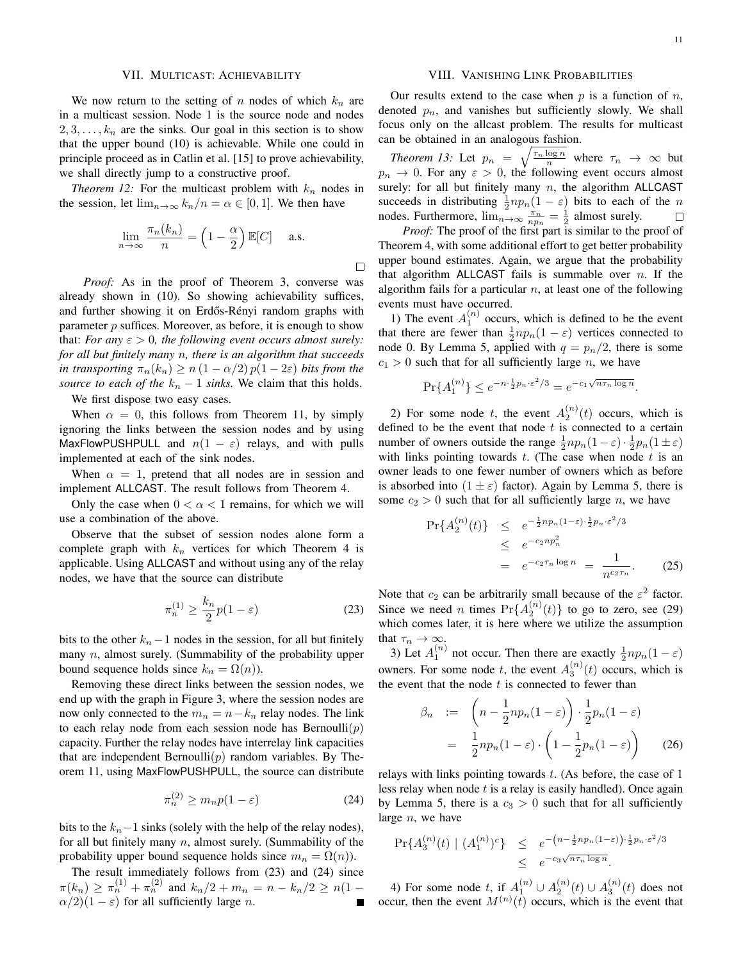#### VII. MULTICAST: ACHIEVABILITY

We now return to the setting of n nodes of which  $k_n$  are in a multicast session. Node 1 is the source node and nodes  $2, 3, \ldots, k_n$  are the sinks. Our goal in this section is to show that the upper bound (10) is achievable. While one could in principle proceed as in Catlin et al. [15] to prove achievability, we shall directly jump to a constructive proof.

*Theorem 12:* For the multicast problem with  $k_n$  nodes in the session, let  $\lim_{n\to\infty} k_n/n = \alpha \in [0,1]$ . We then have

$$
\lim_{n \to \infty} \frac{\pi_n(k_n)}{n} = \left(1 - \frac{\alpha}{2}\right) \mathbb{E}[C] \quad \text{a.s.}
$$

 $\Box$ 

*Proof:* As in the proof of Theorem 3, converse was already shown in (10). So showing achievability suffices, and further showing it on Erdős-Rényi random graphs with parameter  $p$  suffices. Moreover, as before, it is enough to show that: *For any*  $\varepsilon > 0$ *, the following event occurs almost surely: for all but finitely many* n*, there is an algorithm that succeeds in transporting*  $\pi_n(k_n) \geq n(1-\alpha/2)p(1-2\varepsilon)$  *bits from the source to each of the*  $k_n - 1$  *sinks.* We claim that this holds.

We first dispose two easy cases.

When  $\alpha = 0$ , this follows from Theorem 11, by simply ignoring the links between the session nodes and by using MaxFlowPUSHPULL and  $n(1 - \varepsilon)$  relays, and with pulls implemented at each of the sink nodes.

When  $\alpha = 1$ , pretend that all nodes are in session and implement ALLCAST. The result follows from Theorem 4.

Only the case when  $0 < \alpha < 1$  remains, for which we will use a combination of the above.

Observe that the subset of session nodes alone form a complete graph with  $k_n$  vertices for which Theorem 4 is applicable. Using ALLCAST and without using any of the relay nodes, we have that the source can distribute

$$
\pi_n^{(1)} \ge \frac{k_n}{2} p(1 - \varepsilon) \tag{23}
$$

bits to the other  $k_n-1$  nodes in the session, for all but finitely many  $n$ , almost surely. (Summability of the probability upper bound sequence holds since  $k_n = \Omega(n)$ ).

Removing these direct links between the session nodes, we end up with the graph in Figure 3, where the session nodes are now only connected to the  $m_n = n - k_n$  relay nodes. The link to each relay node from each session node has Bernoulli $(p)$ capacity. Further the relay nodes have interrelay link capacities that are independent Bernoulli $(p)$  random variables. By Theorem 11, using MaxFlowPUSHPULL, the source can distribute

$$
\pi_n^{(2)} \ge m_n p(1 - \varepsilon) \tag{24}
$$

bits to the  $k_n-1$  sinks (solely with the help of the relay nodes), for all but finitely many  $n$ , almost surely. (Summability of the probability upper bound sequence holds since  $m_n = \Omega(n)$ ).

The result immediately follows from (23) and (24) since  $\pi(k_n) \geq \pi_n^{(1)} + \pi_n^{(2)}$  and  $k_n/2 + m_n = n - k_n/2 \geq n(1 \alpha/2$ )(1 –  $\varepsilon$ ) for all sufficiently large *n*.

#### VIII. VANISHING LINK PROBABILITIES

Our results extend to the case when  $p$  is a function of  $n$ , denoted  $p_n$ , and vanishes but sufficiently slowly. We shall focus only on the allcast problem. The results for multicast can be obtained in an analogous fashion.

*Theorem 13:* Let  $p_n = \sqrt{\frac{\tau_n \log n}{n}}$  where  $\tau_n \to \infty$  but  $p_n \to 0$ . For any  $\varepsilon > 0$ , the following event occurs almost surely: for all but finitely many  $n$ , the algorithm ALLCAST succeeds in distributing  $\frac{1}{2}np_n(1-\varepsilon)$  bits to each of the n nodes. Furthermore,  $\lim_{n\to\infty} \frac{\pi_n}{n p_n} = \frac{1}{2}$  almost surely.

*Proof:* The proof of the first part is similar to the proof of Theorem 4, with some additional effort to get better probability upper bound estimates. Again, we argue that the probability that algorithm ALLCAST fails is summable over  $n$ . If the algorithm fails for a particular  $n$ , at least one of the following events must have occurred.

1) The event  $A_1^{(n)}$  occurs, which is defined to be the event that there are fewer than  $\frac{1}{2}np_n(1-\varepsilon)$  vertices connected to node 0. By Lemma 5, applied with  $q = p_n/2$ , there is some  $c_1 > 0$  such that for all sufficiently large n, we have

$$
\Pr\{A_1^{(n)}\} \le e^{-n \cdot \frac{1}{2}p_n \cdot \varepsilon^2/3} = e^{-c_1 \sqrt{n \tau_n \log n}}.
$$

2) For some node t, the event  $A_2^{(n)}(t)$  occurs, which is defined to be the event that node  $t$  is connected to a certain number of owners outside the range  $\frac{1}{2}np_n(1-\varepsilon)\cdot\frac{1}{2}p_n(1\pm\varepsilon)$ with links pointing towards  $t$ . (The case when node  $t$  is an owner leads to one fewer number of owners which as before is absorbed into  $(1 \pm \varepsilon)$  factor). Again by Lemma 5, there is some  $c_2 > 0$  such that for all sufficiently large n, we have

$$
\Pr\{A_2^{(n)}(t)\} \le e^{-\frac{1}{2}np_n(1-\varepsilon)\cdot\frac{1}{2}p_n\cdot\varepsilon^2/3} \le e^{-c_2np_n^2} \qquad \qquad \le e^{-c_2\tau_n\log n} = \frac{1}{n^{c_2\tau_n}}.\tag{25}
$$

Note that  $c_2$  can be arbitrarily small because of the  $\varepsilon^2$  factor. Since we need *n* times  $Pr{A_2^{(n)}(t)}$  to go to zero, see (29) which comes later, it is here where we utilize the assumption that  $\tau_n \to \infty$ .

3) Let  $A_1^{(n)}$  not occur. Then there are exactly  $\frac{1}{2}np_n(1-\varepsilon)$ owners. For some node t, the event  $A_3^{(n)}(t)$  occurs, which is the event that the node  $t$  is connected to fewer than

$$
\beta_n := \left( n - \frac{1}{2} n p_n (1 - \varepsilon) \right) \cdot \frac{1}{2} p_n (1 - \varepsilon)
$$

$$
= \frac{1}{2} n p_n (1 - \varepsilon) \cdot \left( 1 - \frac{1}{2} p_n (1 - \varepsilon) \right) \tag{26}
$$

relays with links pointing towards  $t$ . (As before, the case of 1 less relay when node  $t$  is a relay is easily handled). Once again by Lemma 5, there is a  $c_3 > 0$  such that for all sufficiently large  $n$ , we have

$$
\Pr\{A_3^{(n)}(t) \mid (A_1^{(n)})^c\} \leq e^{-\left(n - \frac{1}{2}np_n(1-\varepsilon)\right) \cdot \frac{1}{2}p_n \cdot \varepsilon^2/3} \leq e^{-c_3\sqrt{n\tau_n \log n}}.
$$

4) For some node t, if  $A_1^{(n)} \cup A_2^{(n)}(t) \cup A_3^{(n)}(t)$  does not occur, then the event  $M^{(n)}(t)$  occurs, which is the event that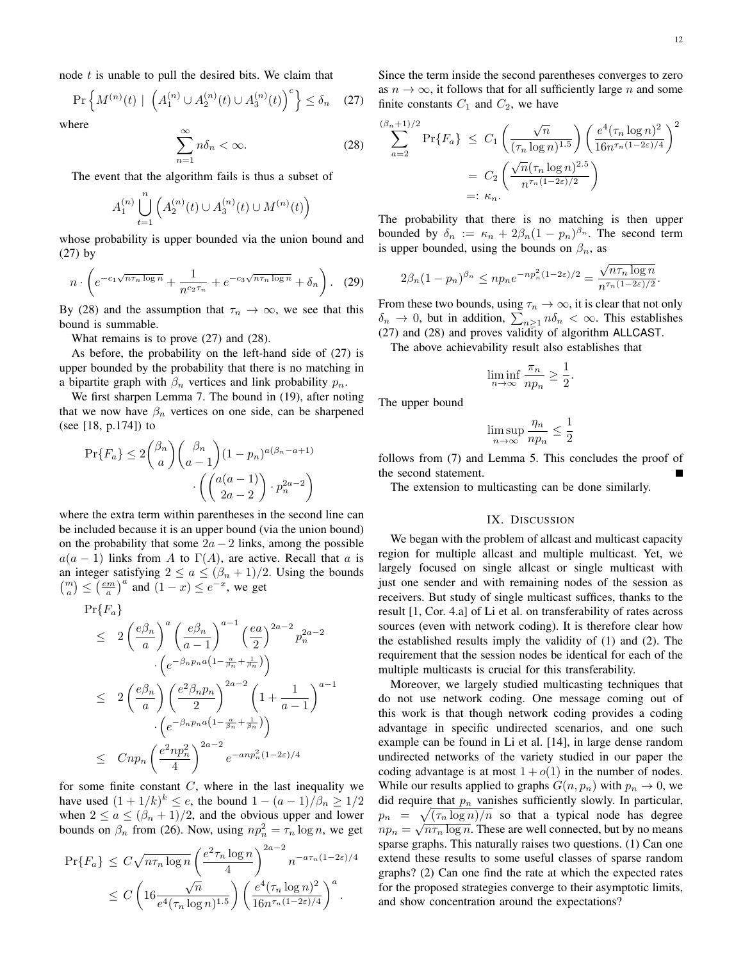node  $t$  is unable to pull the desired bits. We claim that

$$
\Pr\left\{M^{(n)}(t) \mid \left(A_1^{(n)} \cup A_2^{(n)}(t) \cup A_3^{(n)}(t)\right)^c\right\} \le \delta_n \quad (27)
$$

where

$$
\sum_{n=1}^{\infty} n \delta_n < \infty. \tag{28}
$$

The event that the algorithm fails is thus a subset of

$$
A_1^{(n)} \bigcup_{t=1}^n \left( A_2^{(n)}(t) \cup A_3^{(n)}(t) \cup M^{(n)}(t) \right)
$$

whose probability is upper bounded via the union bound and (27) by

$$
n \cdot \left( e^{-c_1 \sqrt{n \tau_n \log n}} + \frac{1}{n^{c_2 \tau_n}} + e^{-c_3 \sqrt{n \tau_n \log n}} + \delta_n \right). \quad (29)
$$

By (28) and the assumption that  $\tau_n \to \infty$ , we see that this bound is summable.

What remains is to prove (27) and (28).

As before, the probability on the left-hand side of (27) is upper bounded by the probability that there is no matching in a bipartite graph with  $\beta_n$  vertices and link probability  $p_n$ .

We first sharpen Lemma 7. The bound in (19), after noting that we now have  $\beta_n$  vertices on one side, can be sharpened (see [18, p.174]) to

$$
\Pr\{F_a\} \le 2\binom{\beta_n}{a}\binom{\beta_n}{a-1}(1-p_n)^{a(\beta_n-a+1)} \cdot \left(\binom{a(a-1)}{2a-2} \cdot p_n^{2a-2}\right)
$$

where the extra term within parentheses in the second line can be included because it is an upper bound (via the union bound) on the probability that some  $2a - 2$  links, among the possible  $a(a - 1)$  links from A to  $\Gamma(A)$ , are active. Recall that a is an integer satisfying  $2 \le a \le (\beta_n + 1)/2$ . Using the bounds  $\binom{m}{a} \leq \left(\frac{em}{a}\right)^a$  and  $\left(1-x\right) \leq e^{-x}$ , we get

$$
\Pr\{F_a\}
$$
\n
$$
\leq 2\left(\frac{e\beta_n}{a}\right)^a \left(\frac{e\beta_n}{a-1}\right)^{a-1} \left(\frac{ea}{2}\right)^{2a-2} p_n^{2a-2}
$$
\n
$$
\cdot \left(e^{-\beta_n p_n a \left(1 - \frac{a}{\beta_n} + \frac{1}{\beta_n}\right)}\right)
$$
\n
$$
\leq 2\left(\frac{e\beta_n}{a}\right) \left(\frac{e^2\beta_n p_n}{2}\right)^{2a-2} \left(1 + \frac{1}{a-1}\right)^{a-1}
$$
\n
$$
\cdot \left(e^{-\beta_n p_n a \left(1 - \frac{a}{\beta_n} + \frac{1}{\beta_n}\right)}\right)
$$
\n
$$
\leq Cnp_n \left(\frac{e^2np_n^2}{4}\right)^{2a-2} e^{-an p_n^2 (1-2\varepsilon)/4}
$$

for some finite constant  $C$ , where in the last inequality we have used  $(1 + 1/k)^k \le e$ , the bound  $1 - (a - 1)/\beta_n \ge 1/2$ when  $2 \le a \le (\beta_n + 1)/2$ , and the obvious upper and lower bounds on  $\beta_n$  from (26). Now, using  $np_n^2 = \tau_n \log n$ , we get

$$
\Pr\{F_a\} \le C\sqrt{n\tau_n \log n} \left(\frac{e^2 \tau_n \log n}{4}\right)^{2a-2} n^{-a\tau_n(1-2\varepsilon)/4}
$$

$$
\le C\left(16\frac{\sqrt{n}}{e^4(\tau_n \log n)^{1.5}}\right) \left(\frac{e^4(\tau_n \log n)^2}{16n^{\tau_n(1-2\varepsilon)/4}}\right)^a.
$$

Since the term inside the second parentheses converges to zero as  $n \to \infty$ , it follows that for all sufficiently large n and some finite constants  $C_1$  and  $C_2$ , we have

$$
\sum_{a=2}^{(\beta_n+1)/2} \Pr\{F_a\} \le C_1 \left(\frac{\sqrt{n}}{(\tau_n \log n)^{1.5}}\right) \left(\frac{e^4(\tau_n \log n)^2}{16n^{\tau_n (1-2\varepsilon)/4}}\right)^2
$$

$$
= C_2 \left(\frac{\sqrt{n}(\tau_n \log n)^{2.5}}{n^{\tau_n (1-2\varepsilon)/2}}\right)
$$

$$
=: \kappa_n.
$$

The probability that there is no matching is then upper bounded by  $\delta_n := \kappa_n + 2\beta_n(1 - p_n)^{\beta_n}$ . The second term is upper bounded, using the bounds on  $\beta_n$ , as

$$
2\beta_n(1-p_n)^{\beta_n} \leq n p_n e^{-np_n^2(1-2\varepsilon)/2} = \frac{\sqrt{n\tau_n \log n}}{n^{\tau_n(1-2\varepsilon)/2}}.
$$

From these two bounds, using  $\tau_n \to \infty$ , it is clear that not only  $\delta_n \to 0$ , but in addition,  $\sum_{n\geq 1} n \delta_n < \infty$ . This establishes (27) and (28) and proves validity of algorithm ALLCAST.

The above achievability result also establishes that

$$
\liminf_{n \to \infty} \frac{\pi_n}{np_n} \ge \frac{1}{2}.
$$

The upper bound

$$
\limsup_{n \to \infty} \frac{\eta_n}{np_n} \le \frac{1}{2}
$$

follows from (7) and Lemma 5. This concludes the proof of the second statement.

The extension to multicasting can be done similarly.

#### IX. DISCUSSION

We began with the problem of allcast and multicast capacity region for multiple allcast and multiple multicast. Yet, we largely focused on single allcast or single multicast with just one sender and with remaining nodes of the session as receivers. But study of single multicast suffices, thanks to the result [1, Cor. 4.a] of Li et al. on transferability of rates across sources (even with network coding). It is therefore clear how the established results imply the validity of (1) and (2). The requirement that the session nodes be identical for each of the multiple multicasts is crucial for this transferability.

Moreover, we largely studied multicasting techniques that do not use network coding. One message coming out of this work is that though network coding provides a coding advantage in specific undirected scenarios, and one such example can be found in Li et al. [14], in large dense random undirected networks of the variety studied in our paper the coding advantage is at most  $1 + o(1)$  in the number of nodes. While our results applied to graphs  $G(n, p_n)$  with  $p_n \to 0$ , we did require that  $p_n$  vanishes sufficiently slowly. In particular,  $p_n = \sqrt{(\tau_n \log n)/n}$  so that a typical node has degree  $np_n = \sqrt{n \tau_n \log n}$ . These are well connected, but by no means sparse graphs. This naturally raises two questions. (1) Can one extend these results to some useful classes of sparse random graphs? (2) Can one find the rate at which the expected rates for the proposed strategies converge to their asymptotic limits, and show concentration around the expectations?